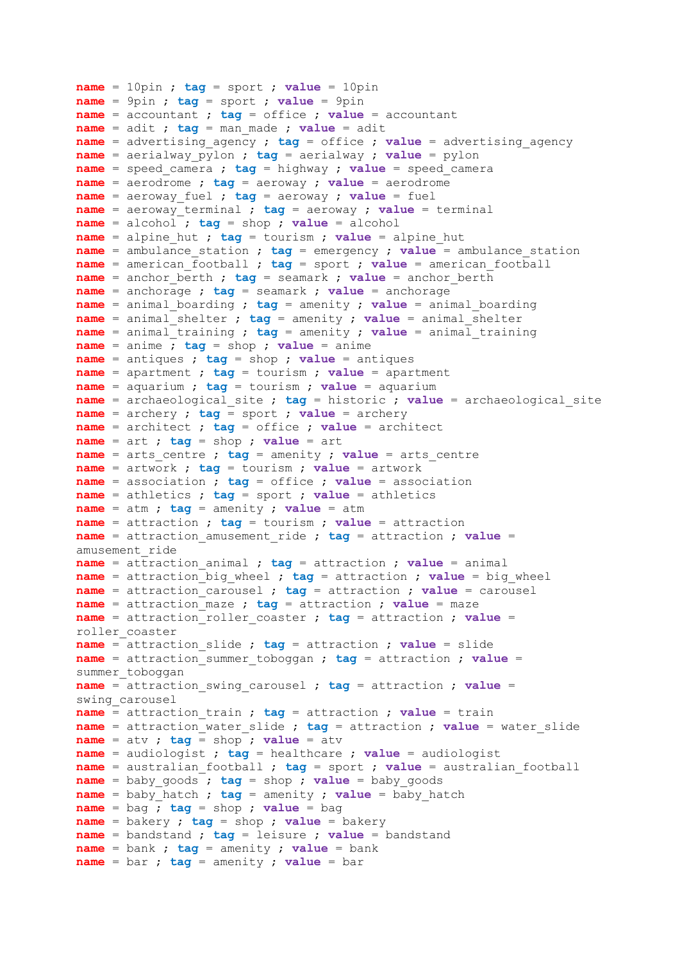```
name = 10pin ; tag = sport ; value = 10pin
name = 9pin ; tag = sport ; value = 9pin
name = accountant ; tag = office ; value = accountant
name = adit ; tag = man_made ; value = adit
name = advertising_agency ; tag = office ; value = advertising_agency
name = aerialway_pylon ; tag = aerialway ; value = pylon
name = speed_camera ; tag = highway ; value = speed_camera
name = aerodrome ; tag = aeroway ; value = aerodrome
name = aeroway_fuel ; tag = aeroway ; value = fuel
name = aeroway_terminal ; tag = aeroway ; value = terminal
name = alcohol ; tag = shop ; value = alcohol
name = alpine_hut ; tag = tourism ; value = alpine_hut
name = ambulance_station ; tag = emergency ; value = ambulance_station
name = american_football ; tag = sport ; value = american_football
name = anchor_berth ; tag = seamark ; value = anchor_berth
name = anchorage ; tag = seamark ; value = anchorage
name = animal_boarding ; tag = amenity ; value = animal_boarding
name = animal_shelter ; tag = amenity ; value = animal_shelter
name = animal_training ; tag = amenity ; value = animal_training
name = anime ; tag = shop ; value = anime
name = antiques ; tag = shop ; value = antiques
name = apartment ; tag = tourism ; value = apartment
name = aquarium ; tag = tourism ; value = aquarium
name = archaeological_site ; tag = historic ; value = archaeological_site
name = archery ; tag = sport ; value = archery
name = architect ; tag = office ; value = architect
name = art ; tag = shop ; value = art
name = arts_centre ; tag = amenity ; value = arts_centre
name = artwork ; tag = tourism ; value = artwork
name = association ; tag = office ; value = association
name = athletics ; tag = sport ; value = athletics
name = atm ; tag = amenity ; value = atm
name = attraction ; tag = tourism ; value = attraction
name = attraction_amusement_ride ; tag = attraction ; value = 
amusement_ride
name = attraction_animal ; tag = attraction ; value = animal
name = attraction_big_wheel ; tag = attraction ; value = big_wheel
name = attraction_carousel ; tag = attraction ; value = carousel
name = attraction_maze ; tag = attraction ; value = maze
name = attraction_roller_coaster ; tag = attraction ; value = 
roller_coaster
name = attraction_slide ; tag = attraction ; value = slide
name = attraction_summer_toboggan ; tag = attraction ; value = 
summer toboggan
name = attraction_swing_carousel ; tag = attraction ; value = 
swing_carousel
name = attraction_train ; tag = attraction ; value = train
name = attraction_water_slide ; tag = attraction ; value = water_slide
name = atv ; tag = shop ; value = atv
name = audiologist ; tag = healthcare ; value = audiologist
name = australian_football ; tag = sport ; value = australian_football
name = baby_goods ; tag = shop ; value = baby_goods
name = babv hatch ; tag = amensity ; value = baby hatch
name = bag ; tag = shop ; value = bag
name = bakery ; tag = shop ; value = bakery
name = bandstand ; tag = leisure ; value = bandstand
name = bank ; tag = amenity ; value = bank
name = bar ; tag = amenity ; value = bar
```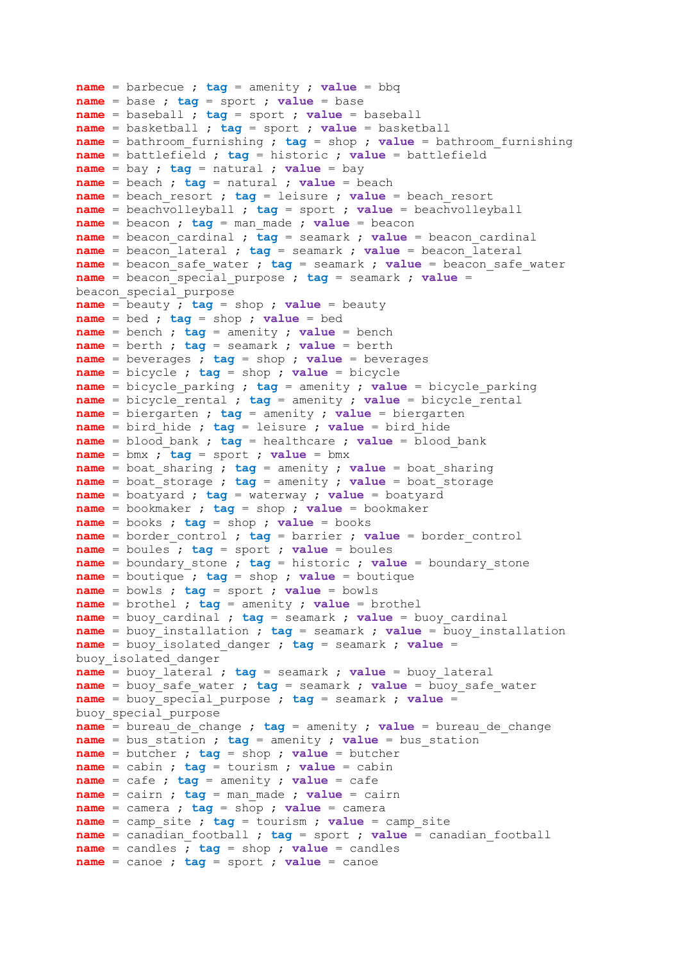```
name = barbecue ; tag = amenity ; value = bbq
name = base ; tag = sport ; value = base
name = baseball ; tag = sport ; value = baseball
name = basketball ; tag = sport ; value = basketball
name = bathroom_furnishing ; tag = shop ; value = bathroom_furnishing
name = battlefield ; tag = historic ; value = battlefield
name = bay ; tag = natural ; value = bay
name = beach ; tag = natural ; value = beach
name = beach_resort ; tag = leisure ; value = beach_resort
name = beachvolleyball ; tag = sport ; value = beachvolleyball
name = beacon ; tag = man_made ; value = beacon
name = beacon_cardinal ; tag = seamark ; value = beacon_cardinal
name = beacon_lateral ; tag = seamark ; value = beacon_lateral
name = beacon_safe_water ; tag = seamark ; value = beacon_safe_water
name = beacon_special_purpose ; tag = seamark ; value = 
beacon_special_purpose
name = beauty ; tag = shop ; value = beauty
name = bed ; tag = shop ; value = bed
name = bench ; tag = amenity ; value = bench
name = berth ; tag = seamark ; value = berth
name = beverages ; tag = shop ; value = beverages
name = bicycle ; tag = shop ; value = bicycle
name = bicycle_parking ; tag = amenity ; value = bicycle_parking
name = bicycle_rental ; tag = amenity ; value = bicycle_rental
name = biergarten ; tag = amenity ; value = biergarten
name = bird_hide ; tag = leisure ; value = bird_hide
name = blood_bank ; tag = healthcare ; value = blood_bank
name = bmx ; tag = sport ; value = bmx
name = boat_sharing ; tag = amenity ; value = boat_sharing
name = boat_storage ; tag = amenity ; value = boat_storage
name = boatyard ; tag = waterway ; value = boatyard
name = bookmaker ; tag = shop ; value = bookmaker
name = books ; tag = shop ; value = books
name = border_control ; tag = barrier ; value = border_control
name = boules ; tag = sport ; value = boules
name = boundary_stone ; tag = historic ; value = boundary_stone
name = boutique ; tag = shop ; value = boutique
name = bowls ; tag = sport ; value = bowls
name = brothel ; tag = amenity ; value = brothel
name = buoy_cardinal ; tag = seamark ; value = buoy_cardinal
name = buoy_installation ; tag = seamark ; value = buoy_installation
name = buoy_isolated_danger ; tag = seamark ; value = 
buoy_isolated_danger
name = buoy_lateral ; tag = seamark ; value = buoy_lateral
name = buoy_safe_water ; tag = seamark ; value = buoy_safe_water
name = buoy_special_purpose ; tag = seamark ; value = 
buoy_special_purpose
name = bureau de change ; tag = amenity ; value = bureau de change
name = bus_station ; tag = amenity ; value = bus_station
name = butcher ; tag = shop ; value = butcher
name = cabin ; tag = tourism ; value = cabin
name = cafe ; tag = amenity ; value = cafe
name = cairn ; tag = man_made ; value = cairn
name = camera ; tag = shop ; value = camera
name = camp_site ; tag = tourism ; value = camp_site
name = canadian_football ; tag = sport ; value = canadian_football
name = candles ; tag = shop ; value = candles
name = canoe ; tag = sport ; value = canoe
```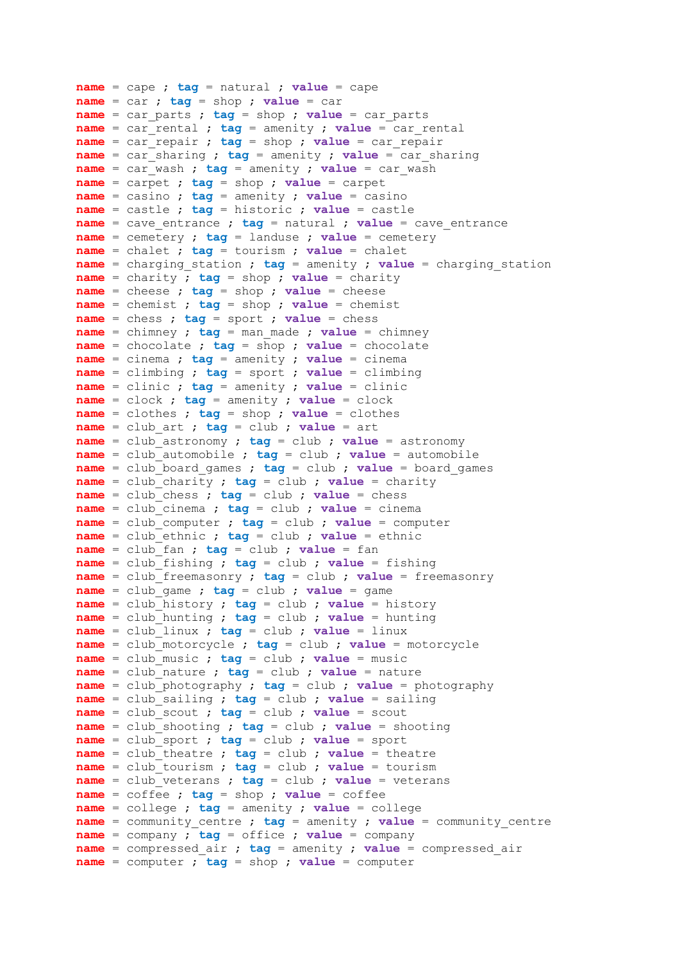**name** = cape ; **tag** = natural ; **value** = cape **name** = car ; **tag** = shop ; **value** = car **name** = car\_parts ; **tag** = shop ; **value** = car\_parts **name** = car\_rental ; **tag** = amenity ; **value** = car\_rental **name** = car\_repair ; **tag** = shop ; **value** = car\_repair **name** = car\_sharing ; **tag** = amenity ; **value** = car\_sharing **name** = car\_wash ; **tag** = amenity ; **value** = car\_wash **name** = carpet ; **tag** = shop ; **value** = carpet **name** = casino ; **tag** = amenity ; **value** = casino **name** = castle ; **tag** = historic ; **value** = castle **name** = cave\_entrance ; **tag** = natural ; **value** = cave\_entrance **name** = cemetery ; **tag** = landuse ; **value** = cemetery **name** = chalet ; **tag** = tourism ; **value** = chalet **name** = charging\_station ; **tag** = amenity ; **value** = charging\_station **name** = charity ; **tag** = shop ; **value** = charity **name** = cheese ; **tag** = shop ; **value** = cheese **name** = chemist ; **tag** = shop ; **value** = chemist **name** = chess ; **tag** = sport ; **value** = chess **name** = chimney ; **tag** = man\_made ; **value** = chimney **name** = chocolate ; **tag** = shop ; **value** = chocolate **name** = cinema ; **tag** = amenity ; **value** = cinema **name** = climbing ; **tag** = sport ; **value** = climbing **name** = clinic ; **tag** = amenity ; **value** = clinic **name** = clock ; **tag** = amenity ; **value** = clock **name** = clothes ; **tag** = shop ; **value** = clothes **name** = club\_art ; **tag** = club ; **value** = art **name** = club\_astronomy ; **tag** = club ; **value** = astronomy **name** = club\_automobile ; **tag** = club ; **value** = automobile **name** = club\_board\_games ; **tag** = club ; **value** = board\_games **name** = club\_charity ; **tag** = club ; **value** = charity **name** = club\_chess ; **tag** = club ; **value** = chess **name** = club\_cinema ; **tag** = club ; **value** = cinema **name** = club\_computer ; **tag** = club ; **value** = computer **name** = club\_ethnic ; **tag** = club ; **value** = ethnic **name** = club\_fan ; **tag** = club ; **value** = fan **name** = club\_fishing ; **tag** = club ; **value** = fishing **name** = club\_freemasonry ; **tag** = club ; **value** = freemasonry **name** = club\_game ; **tag** = club ; **value** = game **name** = club\_history ; **tag** = club ; **value** = history **name** = club\_hunting ; **tag** = club ; **value** = hunting **name** = club\_linux ; **tag** = club ; **value** = linux **name** = club\_motorcycle ; **tag** = club ; **value** = motorcycle **name** = club\_music ; **tag** = club ; **value** = music **name** = club\_nature ; **tag** = club ; **value** = nature **name** = club\_photography ; **tag** = club ; **value** = photography **name** = club\_sailing ; **tag** = club ; **value** = sailing **name** = club\_scout ; **tag** = club ; **value** = scout **name** = club\_shooting ; **tag** = club ; **value** = shooting **name** = club\_sport ; **tag** = club ; **value** = sport **name** = club\_theatre ; **tag** = club ; **value** = theatre **name** = club\_tourism ; **tag** = club ; **value** = tourism **name** = club\_veterans ; **tag** = club ; **value** = veterans **name** = coffee ; **tag** = shop ; **value** = coffee **name** = college ; **tag** = amenity ; **value** = college **name** = community\_centre ; **tag** = amenity ; **value** = community\_centre **name** = company ; **tag** = office ; **value** = company **name** = compressed\_air ; **tag** = amenity ; **value** = compressed\_air **name** = computer ; **tag** = shop ; **value** = computer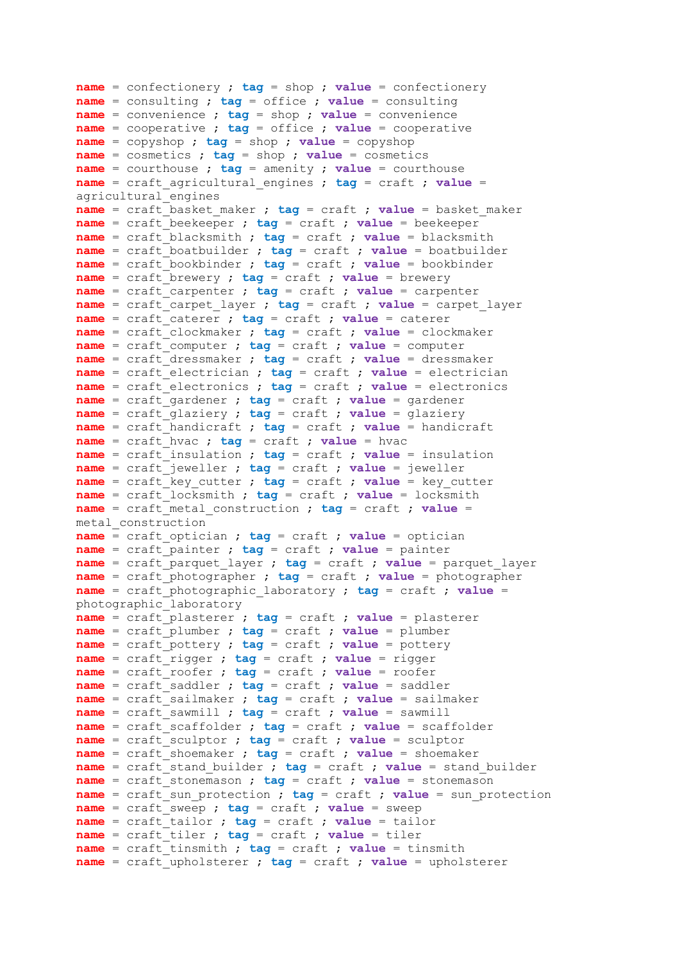```
name = confectionery ; tag = shop ; value = confectionery
name = consulting ; tag = office ; value = consulting
name = convenience ; tag = shop ; value = convenience
name = cooperative ; tag = office ; value = cooperative
name = copyshop ; tag = shop ; value = copyshop
name = cosmetics ; tag = shop ; value = cosmetics
name = courthouse ; tag = amenity ; value = courthouse
name = craft_agricultural_engines ; tag = craft ; value = 
agricultural_engines
name = craft_basket_maker ; tag = craft ; value = basket_maker
name = craft_beekeeper ; tag = craft ; value = beekeeper
name = craft_blacksmith ; tag = craft ; value = blacksmith
name = craft_boatbuilder ; tag = craft ; value = boatbuilder
name = craft_bookbinder ; tag = craft ; value = bookbinder
name = craft_brewery ; tag = craft ; value = brewery
name = craft_carpenter ; tag = craft ; value = carpenter
name = craft_carpet_layer ; tag = craft ; value = carpet_layer
name = craft_caterer ; tag = craft ; value = caterer
name = craft_clockmaker ; tag = craft ; value = clockmaker
name = craft_computer ; tag = craft ; value = computer
name = craft_dressmaker ; tag = craft ; value = dressmaker
name = craft_electrician ; tag = craft ; value = electrician
name = craft_electronics ; tag = craft ; value = electronics
name = craft_gardener ; tag = craft ; value = gardener
name = craft_glaziery ; tag = craft ; value = glaziery
name = craft_handicraft ; tag = craft ; value = handicraft
name = craft_hvac ; tag = craft ; value = hvac
name = craft_insulation ; tag = craft ; value = insulation
name = craft_jeweller ; tag = craft ; value = jeweller
name = craft_key_cutter ; tag = craft ; value = key_cutter
name = craft_locksmith ; tag = craft ; value = locksmith
name = craft_metal_construction ; tag = craft ; value = 
metal_construction
name = craft_optician ; tag = craft ; value = optician
name = craft_painter ; tag = craft ; value = painter
name = craft_parquet_layer ; tag = craft ; value = parquet_layer
name = craft_photographer ; tag = craft ; value = photographer
name = craft_photographic_laboratory ; tag = craft ; value = 
photographic_laboratory
name = craft_plasterer ; tag = craft ; value = plasterer
name = craft_plumber ; tag = craft ; value = plumber
name = craft_pottery ; tag = craft ; value = pottery
name = craft_rigger ; tag = craft ; value = rigger
name = craft_roofer ; tag = craft ; value = roofer
name = craft_saddler ; tag = craft ; value = saddler
name = craft_sailmaker ; tag = craft ; value = sailmaker
name = craft_sawmill ; tag = craft ; value = sawmill
name = craft_scaffolder ; tag = craft ; value = scaffolder
name = craft_sculptor ; tag = craft ; value = sculptor
name = craft_shoemaker ; tag = craft ; value = shoemaker
name = craft_stand_builder ; tag = craft ; value = stand_builder
name = craft_stonemason ; tag = craft ; value = stonemason
name = craft_sun_protection ; tag = craft ; value = sun_protection
name = craft_sweep ; tag = craft ; value = sweep
name = craft_tailor ; tag = craft ; value = tailor
name = craft_tiler ; tag = craft ; value = tiler
name = craft_tinsmith ; tag = craft ; value = tinsmith
name = craft_upholsterer ; tag = craft ; value = upholsterer
```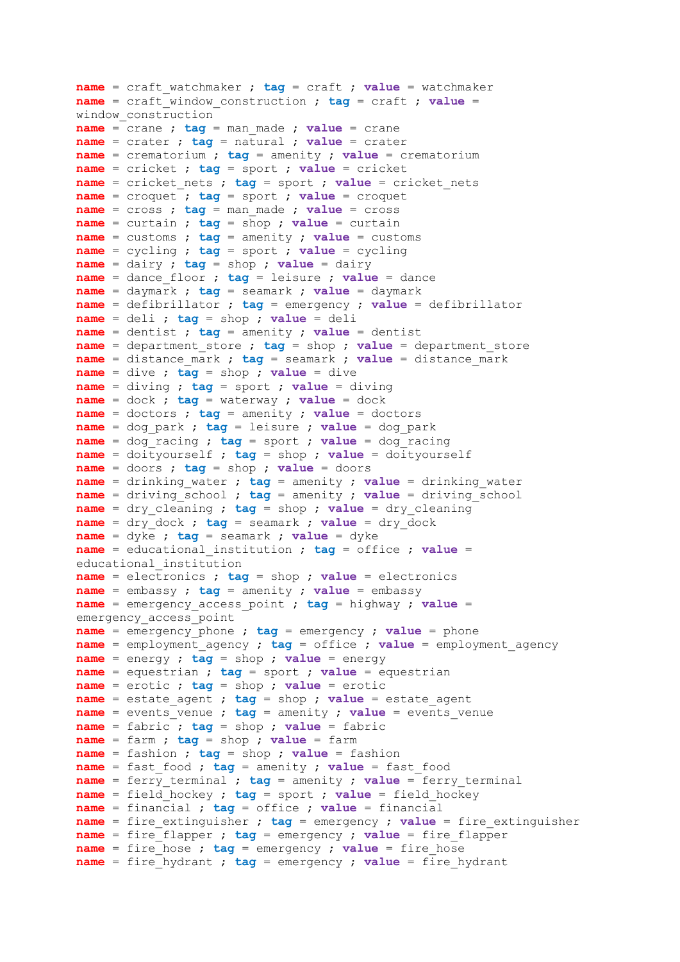```
name = craft_watchmaker ; tag = craft ; value = watchmaker
name = craft_window_construction ; tag = craft ; value = 
window_construction
name = crane ; tag = man_made ; value = crane
name = crater ; tag = natural ; value = crater
name = crematorium ; tag = amenity ; value = crematorium
name = cricket ; tag = sport ; value = cricket
name = cricket_nets ; tag = sport ; value = cricket_nets
name = croquet ; tag = sport ; value = croquet
name = cross ; tag = man_made ; value = cross
name = curtain ; tag = shop ; value = curtain
name = customs ; tag = amenity ; value = customs
name = cycling ; tag = sport ; value = cycling
name = dairy ; tag = shop ; value = dairy
name = dance_floor ; tag = leisure ; value = dance
name = daymark ; tag = seamark ; value = daymark
name = defibrillator ; tag = emergency ; value = defibrillator
name = deli ; tag = shop ; value = deli
name = dentist ; tag = amenity ; value = dentist
name = department_store ; tag = shop ; value = department_store
name = distance_mark ; tag = seamark ; value = distance_mark
name = dive ; tag = shop ; value = dive
name = diving ; tag = sport ; value = diving
name = dock ; tag = waterway ; value = dock
name = doctors ; tag = amenity ; value = doctors
name = dog_park ; tag = leisure ; value = dog_park
name = dog_racing ; tag = sport ; value = dog_racing
name = doityourself ; tag = shop ; value = doityourself
name = doors ; tag = shop ; value = doors
name = drinking_water ; tag = amenity ; value = drinking_water
name = driving school ; tag = amenity ; value = driving school
name = dry_cleaning ; tag = shop ; value = dry_cleaning
name = dry_dock ; tag = seamark ; value = dry_dock
name = dyke ; tag = seamark ; value = dyke
name = educational_institution ; tag = office ; value = 
educational_institution
name = electronics ; tag = shop ; value = electronics
name = embassy ; tag = amenity ; value = embassy
name = emergency_access_point ; tag = highway ; value = 
emergency_access_point
name = emergency_phone ; tag = emergency ; value = phone
name = employment_agency ; tag = office ; value = employment_agency
name = energy ; tag = shop ; value = energy
name = equestrian ; tag = sport ; value = equestrian
name = erotic ; tag = shop ; value = erotic
name = estate_agent ; tag = shop ; value = estate_agent
name = events_venue ; tag = amenity ; value = events_venue
name = fabric ; tag = shop ; value = fabric
name = farm ; tag = shop ; value = farm
name = fashion ; tag = shop ; value = fashion
name = fast_food ; tag = amenity ; value = fast_food
name = ferry terminal ; tag = amenity ; value = ferry terminal
name = field_hockey ; tag = sport ; value = field_hockey
name = financial ; tag = office ; value = financial
name = fire extinguisher ; tag = emergency ; value = fire extinguisher
name = fire_flapper ; tag = emergency ; value = fire_flapper
name = fire_hose ; tag = emergency ; value = fire_hose
name = fire_hydrant ; tag = emergency ; value = fire_hydrant
```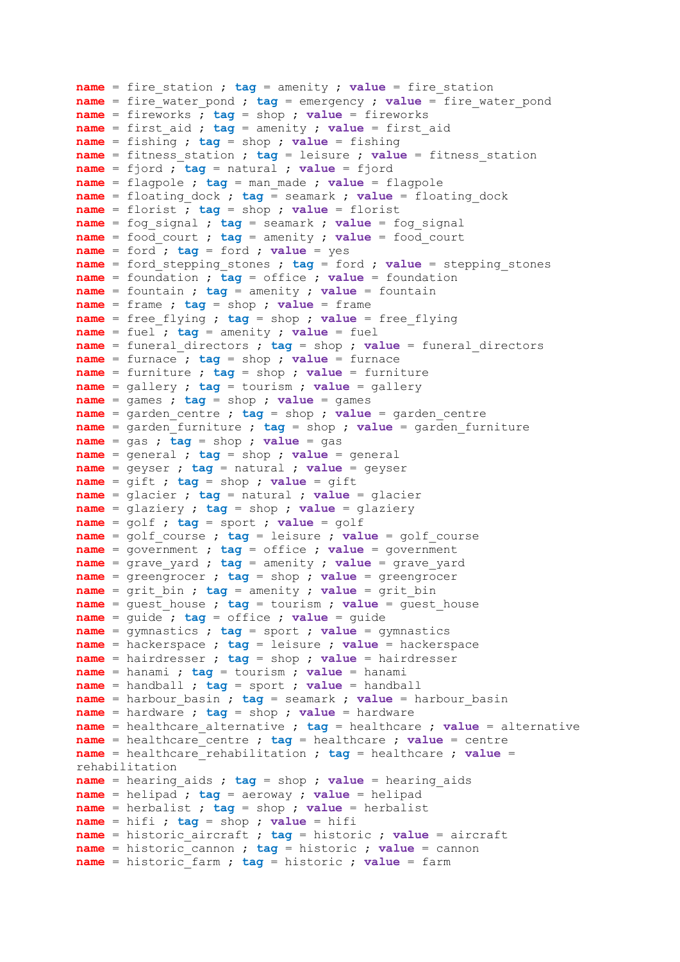**name** = fire\_station ; **tag** = amenity ; **value** = fire\_station **name** = fire water pond ;  $tag$  = emergency ; value = fire water pond **name** = fireworks ; **tag** = shop ; **value** = fireworks **name** = first\_aid ; **tag** = amenity ; **value** = first\_aid **name** = fishing ; **tag** = shop ; **value** = fishing **name** = fitness\_station ; **tag** = leisure ; **value** = fitness\_station **name** = fjord ; **tag** = natural ; **value** = fjord **name** = flagpole ; **tag** = man\_made ; **value** = flagpole **name** = floating\_dock ; **tag** = seamark ; **value** = floating\_dock **name** = florist ; **tag** = shop ; **value** = florist **name** = fog\_signal ; **tag** = seamark ; **value** = fog\_signal **name** = food\_court ; **tag** = amenity ; **value** = food\_court **name** = ford ; **tag** = ford ; **value** = yes **name** = ford\_stepping\_stones ; **tag** = ford ; **value** = stepping\_stones **name** = foundation ; **tag** = office ; **value** = foundation **name** = fountain ; **tag** = amenity ; **value** = fountain **name** = frame ; **tag** = shop ; **value** = frame **name** = free\_flying ; **tag** = shop ; **value** = free\_flying **name** = fuel ; **tag** = amenity ; **value** = fuel **name** = funeral\_directors ; **tag** = shop ; **value** = funeral\_directors **name** = furnace ; **tag** = shop ; **value** = furnace **name** = furniture ; **tag** = shop ; **value** = furniture **name** = gallery ; **tag** = tourism ; **value** = gallery **name** = games ; **tag** = shop ; **value** = games **name** = garden\_centre ; **tag** = shop ; **value** = garden\_centre **name** = garden\_furniture ; **tag** = shop ; **value** = garden\_furniture **name** = gas ; **tag** = shop ; **value** = gas **name** = general ; **tag** = shop ; **value** = general **name** = geyser ; **tag** = natural ; **value** = geyser **name** = gift ; **tag** = shop ; **value** = gift **name** = glacier ; **tag** = natural ; **value** = glacier **name** = glaziery ; **tag** = shop ; **value** = glaziery **name** = golf ; **tag** = sport ; **value** = golf **name** = golf\_course ; **tag** = leisure ; **value** = golf\_course **name** = government ; **tag** = office ; **value** = government **name** = grave\_yard ; **tag** = amenity ; **value** = grave\_yard **name** = greengrocer ; **tag** = shop ; **value** = greengrocer **name** = grit\_bin ; **tag** = amenity ; **value** = grit\_bin **name** = guest house ; **tag** = tourism ; **value** = guest house **name** = guide ; **tag** = office ; **value** = guide **name** = gymnastics ; **tag** = sport ; **value** = gymnastics **name** = hackerspace ; **tag** = leisure ; **value** = hackerspace **name** = hairdresser ; **tag** = shop ; **value** = hairdresser **name** = hanami ; **tag** = tourism ; **value** = hanami **name** = handball ; **tag** = sport ; **value** = handball **name** = harbour\_basin ; **tag** = seamark ; **value** = harbour\_basin **name** = hardware ; **tag** = shop ; **value** = hardware **name** = healthcare\_alternative ; **tag** = healthcare ; **value** = alternative **name** = healthcare\_centre ; **tag** = healthcare ; **value** = centre **name** = healthcare\_rehabilitation ; **tag** = healthcare ; **value** = rehabilitation **name** = hearing\_aids ; **tag** = shop ; **value** = hearing\_aids **name** = helipad ; **tag** = aeroway ; **value** = helipad **name** = herbalist ; **tag** = shop ; **value** = herbalist **name** = hifi ; **tag** = shop ; **value** = hifi **name** = historic\_aircraft ; **tag** = historic ; **value** = aircraft **name** = historic\_cannon ; **tag** = historic ; **value** = cannon **name** = historic\_farm ; **tag** = historic ; **value** = farm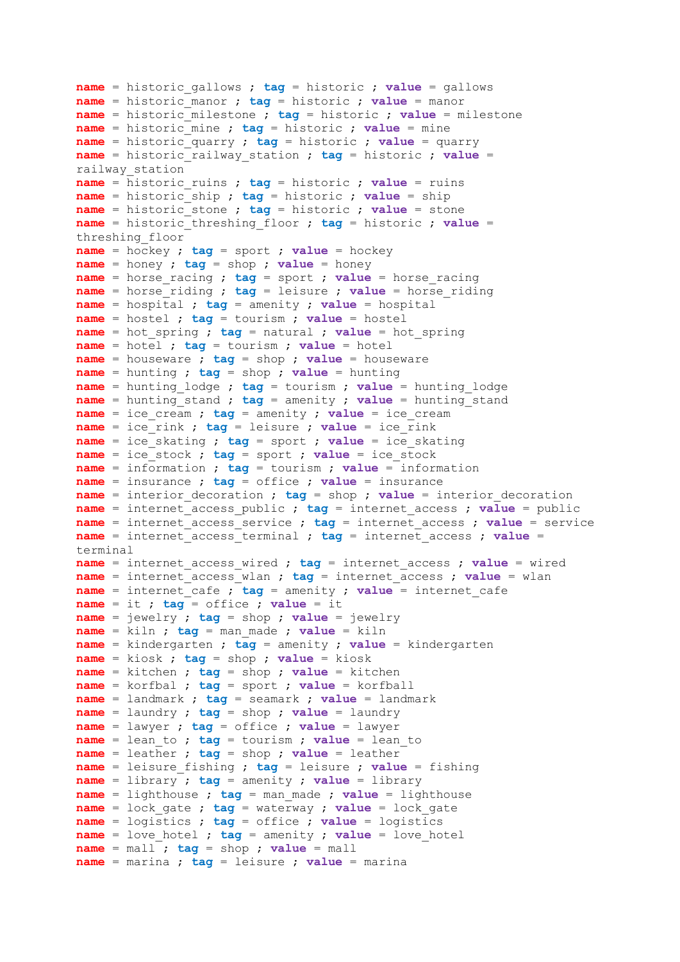```
name = historic_gallows ; tag = historic ; value = gallows
name = historic_manor ; tag = historic ; value = manor
name = historic_milestone ; tag = historic ; value = milestone
name = historic_mine ; tag = historic ; value = mine
name = historic_quarry ; tag = historic ; value = quarry
name = historic_railway_station ; tag = historic ; value = 
railway_station
name = historic_ruins ; tag = historic ; value = ruins
name = historic_ship ; tag = historic ; value = ship
name = historic_stone ; tag = historic ; value = stone
name = historic_threshing_floor ; tag = historic ; value = 
threshing_floor
name = hockey ; tag = sport ; value = hockey
name = honey ; tag = shop ; value = honey
name = horse_racing ; tag = sport ; value = horse_racing
name = horse_riding ; tag = leisure ; value = horse_riding
name = hospital ; tag = amenity ; value = hospital
name = hostel ; tag = tourism ; value = hostel
name = hot_spring ; tag = natural ; value = hot_spring
name = hotel ; tag = tourism ; value = hotel
name = houseware ; tag = shop ; value = houseware
name = hunting ; tag = shop ; value = hunting
name = hunting_lodge ; tag = tourism ; value = hunting_lodge
name = hunting_stand ; tag = amenity ; value = hunting_stand
name = ice_cream ; tag = amenity ; value = ice_cream
name = ice rink ; tag = leisure ; value = ice rink
name = ice_skating ; tag = sport ; value = ice_skating
name = ice_stock ; tag = sport ; value = ice_stock
name = information ; tag = tourism ; value = information
name = insurance ; tag = office ; value = insurance
name = interior_decoration ; tag = shop ; value = interior_decoration
name = internet_access_public ; tag = internet_access ; value = public
name = internet_access_service ; tag = internet_access ; value = service
name = internet_access_terminal ; tag = internet_access ; value = 
terminal
name = internet_access_wired ; tag = internet_access ; value = wired
name = internet_access_wlan ; tag = internet_access ; value = wlan
name = internet_cafe ; tag = amenity ; value = internet_cafe
name = it ; tag = office ; value = it
name = jewelry ; tag = shop ; value = jewelry
name = kiln ; tag = man_made ; value = kiln
name = kindergarten ; tag = amenity ; value = kindergarten
name = kiosk ; tag = shop ; value = kiosk
name = kitchen ; tag = shop ; value = kitchen
name = korfbal ; tag = sport ; value = korfball
name = landmark ; tag = seamark ; value = landmark
name = laundry ; tag = shop ; value = laundry
name = lawyer ; tag = office ; value = lawyer
name = lean_to ; tag = tourism ; value = lean_to
name = leather ; tag = shop ; value = leather
name = leisure_fishing ; tag = leisure ; value = fishing
name = library ; tag = amenity ; value = library
name = lighthouse ; tag = man_made ; value = lighthouse
name = lock_gate ; tag = waterway ; value = lock_gate
name = logistics ; tag = office ; value = logistics
name = love_hotel ; tag = amenity ; value = love_hotel
name = mall ; tag = shop ; value = mall
name = marina ; tag = leisure ; value = marina
```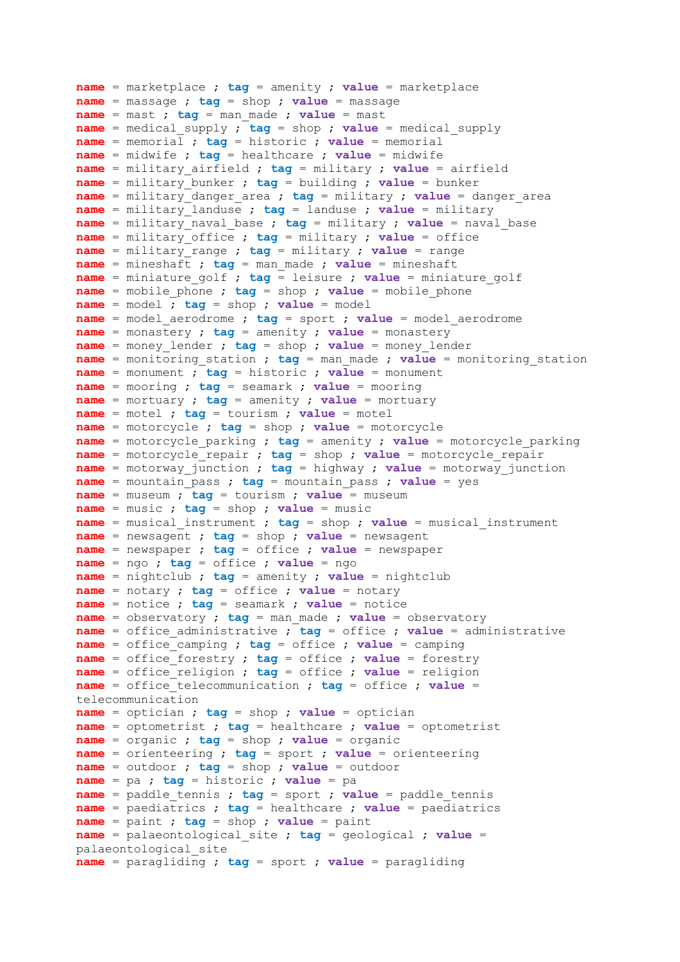```
name = marketplace ; tag = amenity ; value = marketplace
name = massage ; tag = shop ; value = massage
name = mast ; tag = man_made ; value = mast
name = medical_supply ; tag = shop ; value = medical_supply
name = memorial ; tag = historic ; value = memorial
name = midwife ; tag = healthcare ; value = midwife
name = military_airfield ; tag = military ; value = airfield
name = military_bunker ; tag = building ; value = bunker
name = military_danger_area ; tag = military ; value = danger_area
name = military_landuse ; tag = landuse ; value = military
name = military_naval_base ; tag = military ; value = naval_base
name = military_office ; tag = military ; value = office
name = military_range ; tag = military ; value = range
name = mineshaft ; tag = man_made ; value = mineshaft
name = miniature_golf ; tag = leisure ; value = miniature_golf
name = mobile_phone ; tag = shop ; value = mobile_phone
name = model ; tag = shop ; value = model
name = model_aerodrome ; tag = sport ; value = model_aerodrome
name = monastery ; tag = amenity ; value = monastery
name = money_lender ; tag = shop ; value = money_lender
name = monitoring_station ; tag = man_made ; value = monitoring_station
name = monument ; tag = historic ; value = monument
name = mooring ; tag = seamark ; value = mooring
name = mortuary ; tag = amenity ; value = mortuary
name = motel ; tag = tourism ; value = motel
name = motorcycle ; tag = shop ; value = motorcycle
name = motorcycle_parking ; tag = amenity ; value = motorcycle_parking
name = motorcycle_repair ; tag = shop ; value = motorcycle_repair
name = motorway_junction ; tag = highway * value = motorway_junctionname = mountain_pass ; tag = mountain_pass ; value = yes
name = museum ; tag = tourism ; value = museum
name = music ; tag = shop ; value = music
name = musical_instrument ; tag = shop ; value = musical_instrument
name = newsagent ; tag = shop ; value = newsagent
name = newspaper ; tag = office ; value = newspaper
name = ngo ; tag = office ; value = ngo
name = nightclub ; tag = amenity ; value = nightclub
name = notary ; tag = office ; value = notary
name = notice ; tag = seamark ; value = notice
name = observatory ; tag = man_made ; value = observatory
name = office_administrative ; tag = office ; value = administrative
name = office_camping ; tag = office ; value = camping
name = office_forestry ; tag = office ; value = forestry
name = office_religion ; tag = office ; value = religion
name = office_telecommunication ; tag = office ; value = 
telecommunication
name = optician ; tag = shop ; value = optician
name = optometrist ; tag = healthcare ; value = optometrist
name = organic ; tag = shop ; value = organic
name = orienteering ; tag = sport ; value = orienteering
name = outdoor ; tag = shop ; value = outdoor
name = pa ; tag = historic ; value = pa
name = paddle_tennis ; tag = sport ; value = paddle_tennis
name = paediatrics ; tag = healthcare ; value = paediatrics
name = paint ; tag = shop ; value = paint
name = palaeontological_site ; tag = geological ; value = 
palaeontological_site
name = paragliding ; tag = sport ; value = paragliding
```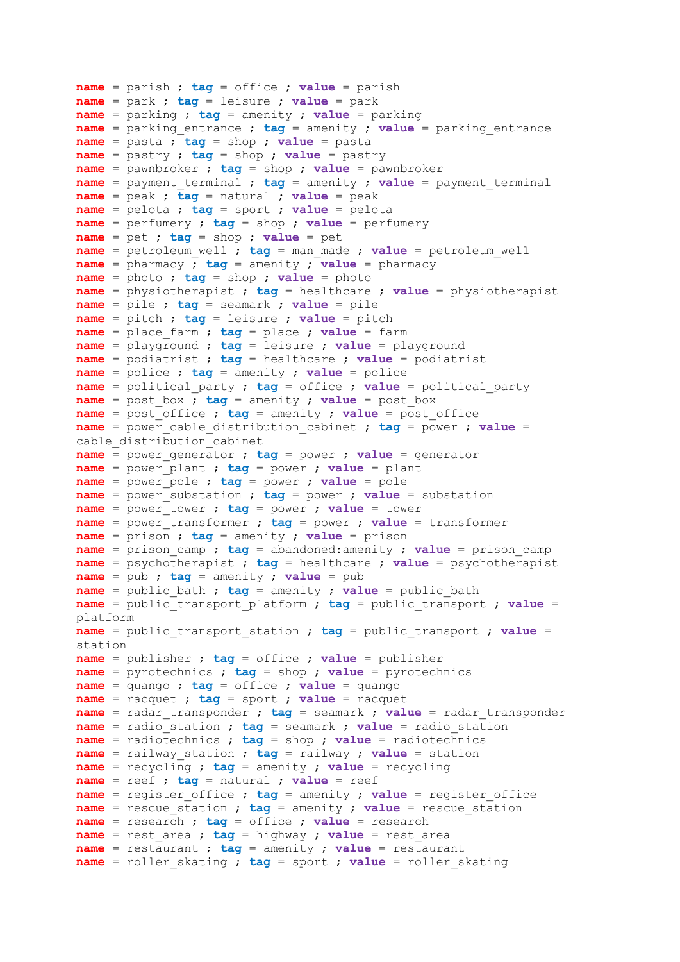```
name = parish ; tag = office ; value = parish
name = park ; tag = leisure ; value = park
name = parking ; tag = amenity ; value = parking
name = parking_entrance ; tag = amenity ; value = parking_entrance
name = pasta ; tag = shop ; value = pasta
name = pastry ; tag = shop ; value = pastry
name = pawnbroker ; tag = shop ; value = pawnbroker
name = payment_terminal ; tag = amenity ; value = payment_terminal
name = peak ; tag = natural ; value = peak
name = pelota ; tag = sport ; value = pelota
name = perfumery ; tag = shop ; value = perfumery
name = pet ; tag = shop ; value = pet
name = petroleum_well ; tag = man_made ; value = petroleum_well
name = pharmacy ; tag = amenity ; value = pharmacy
name = photo ; tag = shop ; value = photo
name = physiotherapist ; tag = healthcare ; value = physiotherapist
name = pile ; tag = seamark ; value = pile
name = pitch ; tag = leisure ; value = pitch
name = place_farm ; tag = place ; value = farm
name = playground ; tag = leisure ; value = playground
name = podiatrist ; tag = healthcare ; value = podiatrist
name = police ; tag = amenity ; value = police
name = political_party ; tag = office ; value = political_party
name = post_box ; tag = amenity ; value = post_box
name = post_office ; tag = amenity ; value = post_office
name = power_cable_distribution_cabinet ; tag = power ; value = 
cable_distribution_cabinet
name = power generator ; tag = power ; value = generator
name = power_plant ; tag = power ; value = plant
name = power_pole ; tag = power ; value = pole
name = power_substation ; tag = power ; value = substation
name = power_tower ; tag = power ; value = tower
name = power_transformer ; tag = power ; value = transformer
name = prison ; tag = amenity ; value = prison
name = prison camp ; tag = abandoned:amenity ; value = prison_camp
name = psychotherapist ; tag = healthcare ; value = psychotherapist
name = pub ; tag = amenity ; value = pub
name = public_bath ; tag = amenity ; value = public_bath
name = public_transport_platform ; tag = public_transport ; value = 
platform
name = public_transport_station ; tag = public_transport ; value = 
station
name = publisher ; tag = office ; value = publisher
name = pyrotechnics ; tag = shop ; value = pyrotechnics
name = quango ; tag = office ; value = quango
name = racquet ; tag = sport ; value = racquet
name = radar_transponder ; tag = seamark ; value = radar_transponder
name = radio_station ; tag = seamark ; value = radio_station
name = radiotechnics ; tag = shop ; value = radiotechnics
name = railway_station ; tag = railway ; value = station
name = recycling ; tag = amenity ; value = recycling
name = reef ; tag = natural ; value = reef
name = register_office ; tag = amenity ; value = register_office
name = rescue_station ; tag = amenity ; value = rescue_station
name = research ; tag = office ; value = research
name = rest_area ; tag = highway ; value = rest_area
name = restaurant ; tag = amenity ; value = restaurant
name = roller_skating ; tag = sport ; value = roller_skating
```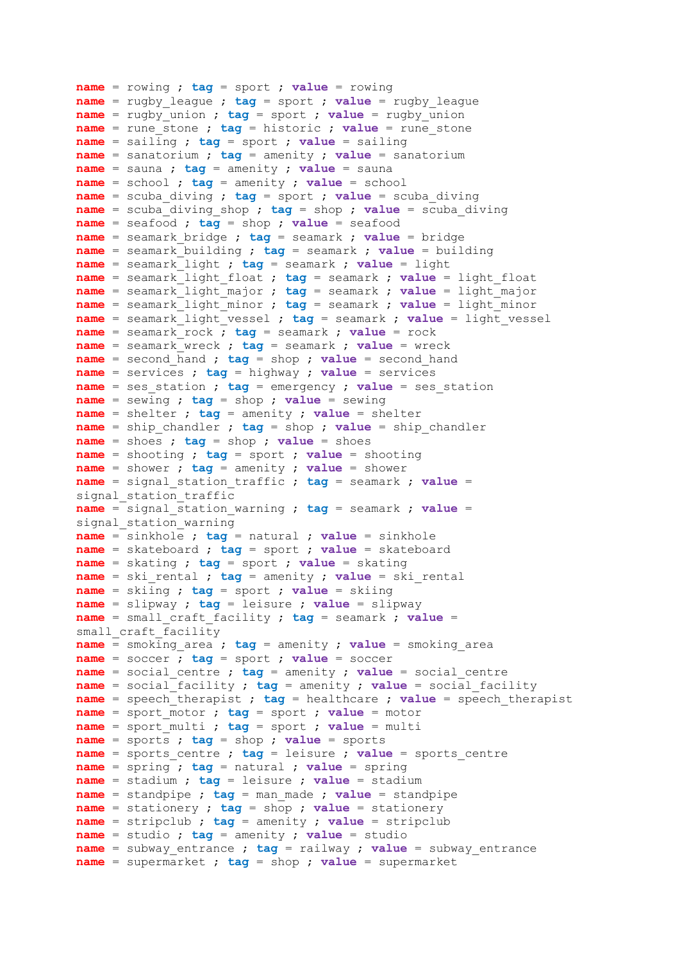```
name = rowing ; tag = sport ; value = rowing
name = rugby_league ; tag = sport ; value = rugby_league
name = rugby_union ; tag = sport ; value = rugby_union
name = rune_stone ; tag = historic ; value = rune_stone
name = sailing ; tag = sport ; value = sailing
name = sanatorium ; tag = amenity ; value = sanatorium
name = sauna ; tag = amenity ; value = sauna
name = school ; tag = amenity ; value = school
name = scuba_diving ; tag = sport ; value = scuba_diving
name = scuba diving shop ; tag = shop ; value = scuba diving
name = seafood ; tag = shop ; value = seafood
name = seamark_bridge ; tag = seamark ; value = bridge
name = seamark_building ; tag = seamark ; value = building
name = seamark_light ; tag = seamark ; value = light
name = seamark_light_float ; tag = seamark ; value = light_float
name = seamark_light_major ; tag = seamark ; value = light_major
name = seamark_light_minor ; tag = seamark ; value = light_minor
name = seamark_light_vessel ; tag = seamark ; value = light_vessel
name = seamark_rock ; tag = seamark ; value = rock
name = seamark_wreck ; tag = seamark ; value = wreck
name = second_hand ; tag = shop ; value = second_hand
name = services ; tag = highway ; value = services
name = ses_station ; tag = emergency ; value = ses_station
name = sewing ; tag = shop ; value = sewing
name = shelter ; tag = amenity ; value = shelter
name = ship_chandler ; tag = shop ; value = ship_chandler
name = shoes ; tag = shop ; value = shoes
name = shooting ; tag = sport ; value = shooting
name = shower ; tag = amenity ; value = shower
name = signal_station_traffic ; tag = seamark ; value = 
signal station traffic
name = signal_station_warning ; tag = seamark ; value = 
signal station warning
name = sinkhole ; tag = natural ; value = sinkhole
name = skateboard ; tag = sport ; value = skateboard
name = skating ; tag = sport ; value = skating
name = ski_rental ; tag = amenity ; value = ski_rental
name = skiing ; tag = sport ; value = skiing
name = slipway ; tag = leisure ; value = slipway
name = small_craft_facility ; tag = seamark ; value = 
small craft facility
name = smoking_area ; tag = amenity ; value = smoking_area
name = soccer ; tag = sport ; value = soccer
name = social_centre ; tag = amenity ; value = social_centre
name = social_facility ; tag = amenity ; value = social_facility
name = speech_therapist ; tag = healthcare ; value = speech therapist
name = sport_motor ; tag = sport ; value = motor
name = sport_multi ; tag = sport ; value = multi
name = sports ; tag = shop ; value = sports
name = sports_centre ; tag = leisure ; value = sports_centre
name = spring ; tag = natural ; value = spring
name = stadium ; tag = leisure ; value = stadium
name = standpipe ; tag = man_made ; value = standpipe
name = stationery ; tag = shop ; value = stationery
name = stripclub ; tag = amenity ; value = stripclub
name = studio ; tag = amenity ; value = studio
name = subway_entrance ; tag = railway ; value = subway_entrance
name = supermarket ; tag = shop ; value = supermarket
```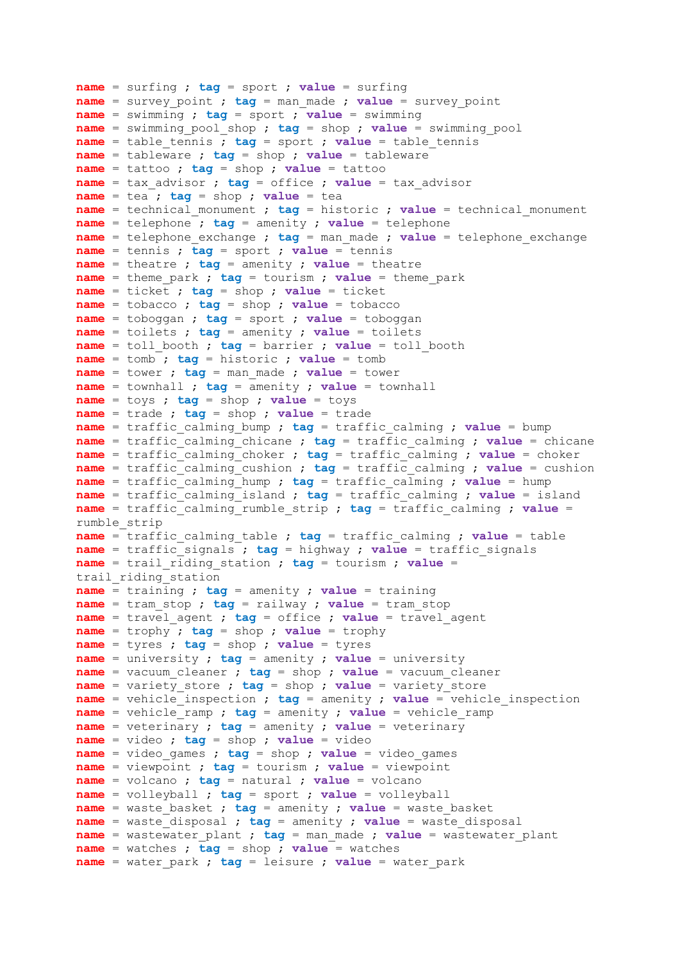```
name = surfing ; tag = sport ; value = surfing
name = survey_point ; tag = man_made ; value = survey_point
name = swimming ; tag = sport ; value = swimming
name = swimming_pool_shop ; tag = shop ; value = swimming_pool
name = table_tennis ; tag = sport ; value = table_tennis
name = tableware ; tag = shop ; value = tableware
name = tattoo ; tag = shop ; value = tattoo
name = tax_advisor ; tag = office ; value = tax_advisor
name = tea ; tag = shop ; value = tea
name = technical_monument ; tag = historic ; value = technical_monument
name = telephone ; tag = amenity ; value = telephone
name = telephone_exchange ; tag = man_made ; value = telephone_exchange
name = tennis ; tag = sport ; value = tennis
name = theatre ; tag = amenity ; value = theatre
name = theme_park ; tag = tourism ; value = theme_park
name = ticket ; tag = shop ; value = ticket
name = tobacco ; tag = shop ; value = tobacco
name = toboggan ; tag = sport ; value = toboggan
name = toilets ; tag = amenity ; value = toilets
name = toll_booth ; tag = barrier ; value = toll_booth
name = tomb ; tag = historic ; value = tomb
name = tower ; tag = man_made ; value = tower
name = townhall ; tag = amenity ; value = townhall
name = toys ; tag = shop ; value = toys
name = trade ; tag = shop ; value = trade
name = traffic_calming_bump ; tag = traffic_calming ; value = bump
name = traffic_calming_chicane ; tag = traffic_calming ; value = chicane
name = traffic_calming_choker ; tag = traffic_calming ; value = choker
name = traffic_calming_cushion ; tag = traffic_calming ; value = cushion
name = traffic_calming_hump ; tag = traffic_calming ; value = hump
name = traffic_calming_island ; tag = traffic_calming ; value = island
name = traffic_calming_rumble_strip ; tag = traffic_calming ; value = 
rumble_strip
name = traffic_calming_table ; tag = traffic_calming ; value = table
name = traffic_signals ; tag = highway ; value = traffic_signals
name = trail_riding_station ; tag = tourism ; value = 
trail riding station
name = training ; tag = amenity ; value = training
name = tram_stop ; tag = railway ; value = tram_stop
name = travel_agent ; tag = office ; value = travel_agent
name = trophy ; tag = shop ; value = trophy
name = tyres ; tag = shop ; value = tyres
name = university ; tag = amenity ; value = university
name = vacuum_cleaner ; tag = shop ; value = vacuum_cleaner
name = variety store ; tag = shop ; value = variety store
name = vehicle_inspection ; tag = amenity ; value = vehicle_inspection
name = vehicle_ramp ; tag = amenity ; value = vehicle_ramp
name = veterinary ; tag = amenity ; value = veterinary
name = video ; tag = shop ; value = video
name = video_games ; tag = shop ; value = video_games
name = viewpoint ; tag = tourism ; value = viewpoint
name = volcano ; tag = natural ; value = volcano
name = volleyball ; tag = sport ; value = volleyball
name = waste_basket ; tag = amenity ; value = waste_basket
name = waste_disposal ; tag = amenity ; value = waste_disposal
name = wastewater_plant ; tag = man_made ; value = wastewater_plant
name = watches ; tag = shop ; value = watches
name = water_park ; tag = leisure ; value = water_park
```